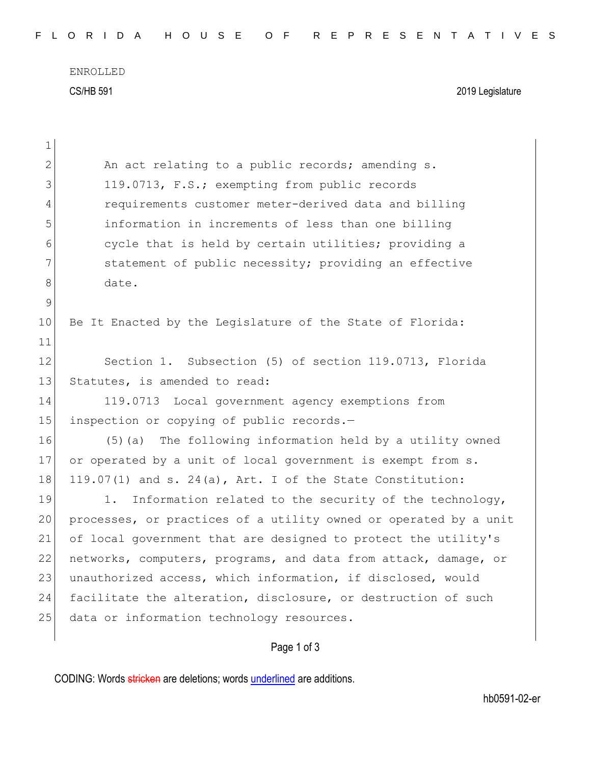ENROLLED CS/HB 591 2019 Legislature

| $\mathbf 1$   |                                                                  |
|---------------|------------------------------------------------------------------|
| $\mathbf{2}$  | An act relating to a public records; amending s.                 |
| 3             | 119.0713, F.S.; exempting from public records                    |
| 4             | requirements customer meter-derived data and billing             |
| 5             | information in increments of less than one billing               |
| 6             | cycle that is held by certain utilities; providing a             |
| 7             | statement of public necessity; providing an effective            |
| 8             | date.                                                            |
| $\mathcal{G}$ |                                                                  |
| 10            | Be It Enacted by the Legislature of the State of Florida:        |
| 11            |                                                                  |
| 12            | Section 1. Subsection (5) of section 119.0713, Florida           |
| 13            | Statutes, is amended to read:                                    |
| 14            | 119.0713 Local government agency exemptions from                 |
| 15            | inspection or copying of public records.-                        |
| 16            | (5) (a) The following information held by a utility owned        |
| 17            | or operated by a unit of local government is exempt from s.      |
| 18            | 119.07(1) and s. 24(a), Art. I of the State Constitution:        |
| 19            | Information related to the security of the technology,<br>1.     |
| 20            | processes, or practices of a utility owned or operated by a unit |
| 21            | of local government that are designed to protect the utility's   |
| 22            | networks, computers, programs, and data from attack, damage, or  |
| 23            | unauthorized access, which information, if disclosed, would      |
| 24            | facilitate the alteration, disclosure, or destruction of such    |
| 25            | data or information technology resources.                        |
|               |                                                                  |

Page 1 of 3

CODING: Words stricken are deletions; words underlined are additions.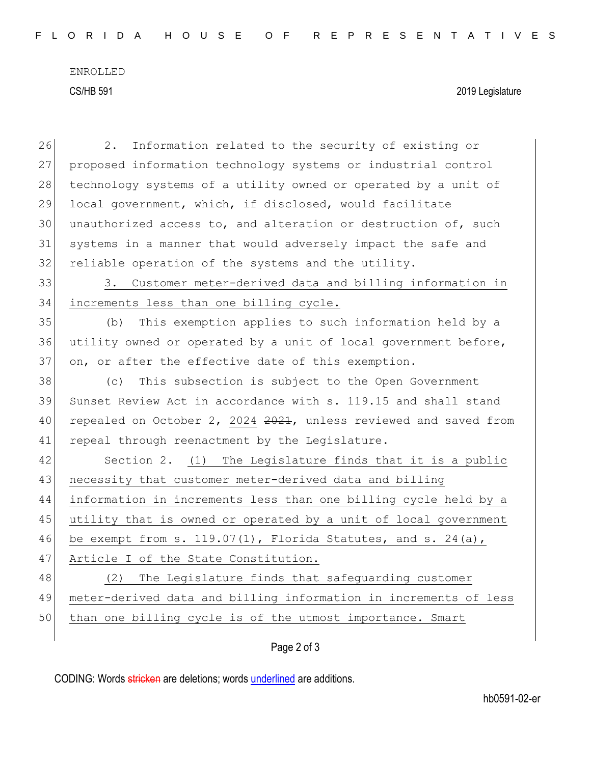ENROLLED CS/HB 591 2019 Legislature

| 26 | Information related to the security of existing or<br>2.         |
|----|------------------------------------------------------------------|
| 27 | proposed information technology systems or industrial control    |
| 28 | technology systems of a utility owned or operated by a unit of   |
| 29 | local government, which, if disclosed, would facilitate          |
| 30 | unauthorized access to, and alteration or destruction of, such   |
| 31 | systems in a manner that would adversely impact the safe and     |
| 32 | reliable operation of the systems and the utility.               |
| 33 | Customer meter-derived data and billing information in<br>3.     |
| 34 | increments less than one billing cycle.                          |
| 35 | (b)<br>This exemption applies to such information held by a      |
| 36 | utility owned or operated by a unit of local government before,  |
| 37 | on, or after the effective date of this exemption.               |
| 38 | This subsection is subject to the Open Government<br>(C)         |
| 39 | Sunset Review Act in accordance with s. 119.15 and shall stand   |
| 40 | repealed on October 2, 2024 2021, unless reviewed and saved from |
| 41 | repeal through reenactment by the Legislature.                   |
| 42 | Section 2. (1) The Legislature finds that it is a public         |
| 43 | necessity that customer meter-derived data and billing           |
| 44 | information in increments less than one billing cycle held by a  |
| 45 | utility that is owned or operated by a unit of local government  |
| 46 | be exempt from s. $119.07(1)$ , Florida Statutes, and s. 24(a),  |
| 47 | Article I of the State Constitution.                             |
| 48 | The Legislature finds that safeguarding customer<br>(2)          |
| 49 | meter-derived data and billing information in increments of less |
| 50 | than one billing cycle is of the utmost importance. Smart        |
|    | Page 2 of 3                                                      |
|    |                                                                  |

CODING: Words stricken are deletions; words underlined are additions.